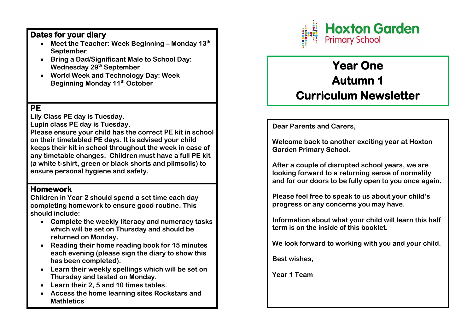# **Dates for your diary**

- **Meet the Teacher: Week Beginning – Monday 13th September**
- **Bring a Dad/Significant Male to School Day: Wednesday 29th September**
- **World Week and Technology Day: Week Beginning Monday 11th October**

# **PE**

**Lily Class PE day is Tuesday.**

**Lupin class PE day is Tuesday.**

**Please ensure your child has the correct PE kit in school on their timetabled PE days. It is advised your child keeps their kit in school throughout the week in case of any timetable changes. Children must have a full PE kit (a white t-shirt, green or black shorts and plimsolls) to ensure personal hygiene and safety.**

# **Homework**

**Children in Year 2 should spend a set time each day completing homework to ensure good routine. This should include:**

- **Complete the weekly literacy and numeracy tasks which will be set on Thursday and should be returned on Monday.**
- **Reading their home reading book for 15 minutes each evening (please sign the diary to show this has been completed).**
- **Learn their weekly spellings which will be set on Thursday and tested on Monday.**
- **Learn their 2, 5 and 10 times tables.**
- **Access the home learning sites Rockstars and Mathletics**



# **Year One Autumn 1 Curriculum Newsletter**

**Dear Parents and Carers,**

**Welcome back to another exciting year at Hoxton Garden Primary School.** 

**After a couple of disrupted school years, we are looking forward to a returning sense of normality and for our doors to be fully open to you once again.**

**Please feel free to speak to us about your child's progress or any concerns you may have.** 

**Information about what your child will learn this half term is on the inside of this booklet.**

**We look forward to working with you and your child.**

**Best wishes,** 

**Year 1 Team**